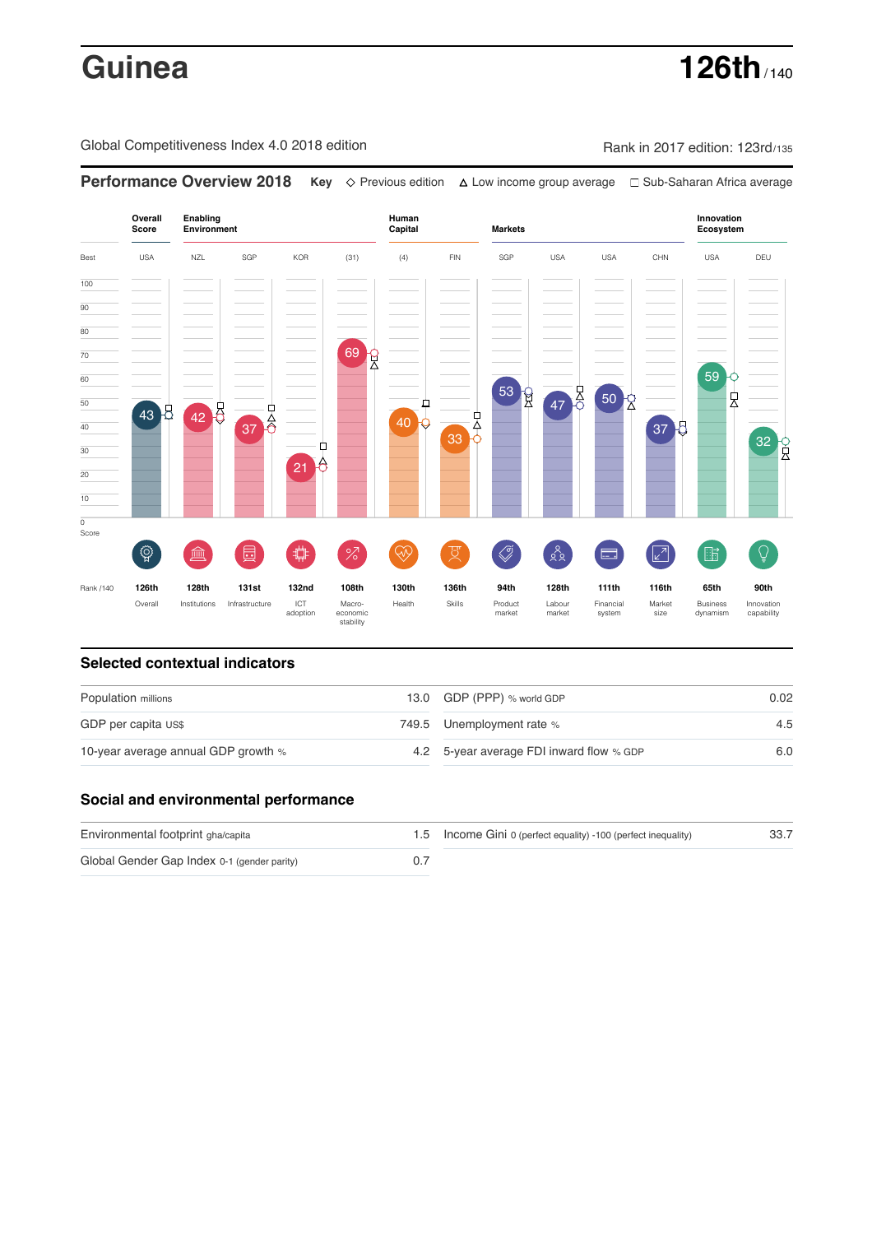# **Guinea 126th** / 140

Global Competitiveness Index 4.0 2018 edition Company Rank in 2017 edition: 123rd/135

**Overall Innovation Enabling Environment Human Capital Markets Score Ecosystem** Best USA NZL SGP KOR (31) (4) FIN SGP USA USA CHN USA DEU 100  $\overline{90}$ 80 69 R 70 59 60 53 R  $47<sup>11</sup>$ , 50  $\frac{1}{2}$ 50  $\overline{40}$  +  $\overline{9}$ 43 42 42  $\overline{37}$  $\overline{6}$ -<br>4 40 37 8 **33 0** 32 P Ĥ 30  $21<sup>6</sup>$ 20 10  $\overline{\text{o}}$ Score ៍{៌្ម} ี 2  $88$  $\overline{Q}$ **ledge (** ö %)( ਸ਼ੁ 击  $\sqrt{2}$ 酯 E 渝 Rank /140 **126th 128th 131st 132nd 108th 130th 136th 94th 128th 111th 116th 65th 90th** Overall Institutions Infrastructure ICT<br>adoption adoption Macro- economic stability Health Skills Product market Labour<br>market Financial system Market size Business dynamism Innovation capability

**Performance Overview 2018 Key** Previous edition Low income group average Sub-Saharan Africa average

### **Selected contextual indicators**

| Population millions                 | 13.0 GDP (PPP) % world GDP               | 0.02 |  |
|-------------------------------------|------------------------------------------|------|--|
| GDP per capita US\$                 | 749.5 Unemployment rate %                | 4.5  |  |
| 10-year average annual GDP growth % | 4.2 5-year average FDI inward flow % GDP | 6.0  |  |

### **Social and environmental performance**

| Environmental footprint gha/capita          | 1.5 Income Gini 0 (perfect equality) -100 (perfect inequality) | 33.7 |
|---------------------------------------------|----------------------------------------------------------------|------|
| Global Gender Gap Index 0-1 (gender parity) |                                                                |      |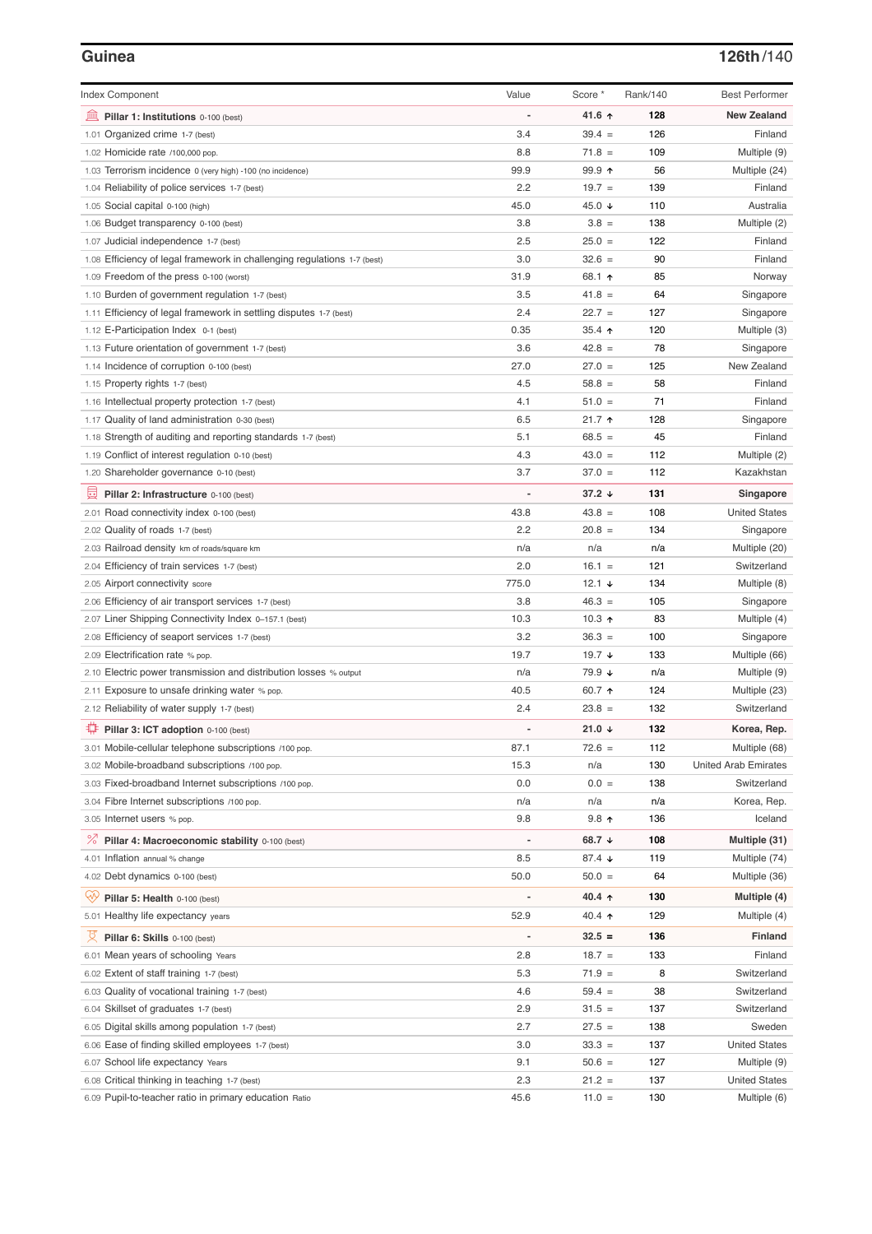# **Guinea 126th**/140

| <b>Index Component</b>                                                   | Value                        | Score *         | Rank/140 | <b>Best Performer</b>       |
|--------------------------------------------------------------------------|------------------------------|-----------------|----------|-----------------------------|
| 寙<br>Pillar 1: Institutions 0-100 (best)                                 |                              | 41.6 $\uparrow$ | 128      | <b>New Zealand</b>          |
| 1.01 Organized crime 1-7 (best)                                          | 3.4                          | $39.4 =$        | 126      | Finland                     |
| 1.02 Homicide rate /100,000 pop.                                         | 8.8                          | $71.8 =$        | 109      | Multiple (9)                |
| 1.03 Terrorism incidence 0 (very high) -100 (no incidence)               | 99.9                         | 99.9 ↑          | 56       | Multiple (24)               |
| 1.04 Reliability of police services 1-7 (best)                           | 2.2                          | $19.7 =$        | 139      | Finland                     |
| 1.05 Social capital 0-100 (high)                                         | 45.0                         | 45.0 ↓          | 110      | Australia                   |
| 1.06 Budget transparency 0-100 (best)                                    | 3.8                          | $3.8 =$         | 138      | Multiple (2)                |
| 1.07 Judicial independence 1-7 (best)                                    | 2.5                          | $25.0 =$        | 122      | Finland                     |
| 1.08 Efficiency of legal framework in challenging regulations 1-7 (best) | 3.0                          | $32.6 =$        | 90       | Finland                     |
| 1.09 Freedom of the press 0-100 (worst)                                  | 31.9                         | 68.1 ↑          | 85       | Norway                      |
| 1.10 Burden of government regulation 1-7 (best)                          | 3.5                          | $41.8 =$        | 64       | Singapore                   |
| 1.11 Efficiency of legal framework in settling disputes 1-7 (best)       | 2.4                          | $22.7 =$        | 127      | Singapore                   |
| 1.12 E-Participation Index 0-1 (best)                                    | 0.35                         | $35.4$ ↑        | 120      | Multiple (3)                |
| 1.13 Future orientation of government 1-7 (best)                         | 3.6                          | $42.8 =$        | 78       | Singapore                   |
| 1.14 Incidence of corruption 0-100 (best)                                | 27.0                         | $27.0 =$        | 125      | New Zealand                 |
| 1.15 Property rights 1-7 (best)                                          | 4.5                          | $58.8 =$        | 58       | Finland                     |
| 1.16 Intellectual property protection 1-7 (best)                         | 4.1                          | $51.0 =$        | 71       | Finland                     |
| 1.17 Quality of land administration 0-30 (best)                          | 6.5                          | $21.7$ 1        | 128      | Singapore                   |
| 1.18 Strength of auditing and reporting standards 1-7 (best)             | 5.1                          | $68.5 =$        | 45       | Finland                     |
| 1.19 Conflict of interest regulation 0-10 (best)                         | 4.3                          | $43.0 =$        | 112      | Multiple (2)                |
| 1.20 Shareholder governance 0-10 (best)                                  | 3.7                          | $37.0 =$        | 112      | Kazakhstan                  |
| 員<br>Pillar 2: Infrastructure 0-100 (best)                               |                              | $37.2 +$        | 131      | Singapore                   |
| 2.01 Road connectivity index 0-100 (best)                                | 43.8                         | $43.8 =$        | 108      | <b>United States</b>        |
| 2.02 Quality of roads 1-7 (best)                                         | 2.2                          | $20.8 =$        | 134      | Singapore                   |
| 2.03 Railroad density km of roads/square km                              | n/a                          | n/a             | n/a      | Multiple (20)               |
| 2.04 Efficiency of train services 1-7 (best)                             | 2.0                          | $16.1 =$        | 121      | Switzerland                 |
| 2.05 Airport connectivity score                                          | 775.0                        | 12.1 $\sqrt{ }$ | 134      | Multiple (8)                |
| 2.06 Efficiency of air transport services 1-7 (best)                     | 3.8                          | $46.3 =$        | 105      | Singapore                   |
| 2.07 Liner Shipping Connectivity Index 0-157.1 (best)                    | 10.3                         | 10.3 $\uparrow$ | 83       | Multiple (4)                |
| 2.08 Efficiency of seaport services 1-7 (best)                           | 3.2                          | $36.3 =$        | 100      | Singapore                   |
| 2.09 Electrification rate % pop.                                         | 19.7                         | 19.7 $\sqrt{ }$ | 133      | Multiple (66)               |
| 2.10 Electric power transmission and distribution losses % output        | n/a                          | 79.9 ↓          | n/a      | Multiple (9)                |
| 2.11 Exposure to unsafe drinking water % pop.                            | 40.5                         | 60.7 $\uparrow$ | 124      | Multiple (23)               |
| 2.12 Reliability of water supply 1-7 (best)                              | 2.4                          | $23.8 =$        | 132      | Switzerland                 |
| ₿<br>Pillar 3: ICT adoption 0-100 (best)                                 |                              | 21.0 $\sqrt{ }$ | 132      | Korea, Rep.                 |
| 3.01 Mobile-cellular telephone subscriptions /100 pop.                   | 87.1                         | $72.6 =$        | 112      | Multiple (68)               |
| 3.02 Mobile-broadband subscriptions /100 pop.                            | 15.3                         | n/a             | 130      | <b>United Arab Emirates</b> |
| 3.03 Fixed-broadband Internet subscriptions /100 pop.                    | 0.0                          | $0.0 =$         | 138      | Switzerland                 |
| 3.04 Fibre Internet subscriptions /100 pop.                              | n/a                          | n/a             | n/a      | Korea, Rep.                 |
| 3.05 Internet users % pop.                                               | 9.8                          | $9.8$ ↑         | 136      | Iceland                     |
| ℅<br>Pillar 4: Macroeconomic stability 0-100 (best)                      | $\qquad \qquad \blacksquare$ | 68.7 ↓          | 108      | Multiple (31)               |
| 4.01 Inflation annual % change                                           | 8.5                          | 87.4 $\sqrt{ }$ | 119      | Multiple (74)               |
| 4.02 Debt dynamics 0-100 (best)                                          | 50.0                         | $50.0 =$        | 64       | Multiple (36)               |
| Qv<br>Pillar 5: Health 0-100 (best)                                      |                              | 40.4 $\uparrow$ | 130      | Multiple (4)                |
| 5.01 Healthy life expectancy years                                       | 52.9                         | 40.4 $\uparrow$ | 129      | Multiple (4)                |
| 섯<br>Pillar 6: Skills 0-100 (best)                                       | $\qquad \qquad \blacksquare$ | $32.5 =$        | 136      | Finland                     |
| 6.01 Mean years of schooling Years                                       | 2.8                          | $18.7 =$        | 133      | Finland                     |
| 6.02 Extent of staff training 1-7 (best)                                 | 5.3                          | $71.9 =$        | 8        | Switzerland                 |
| 6.03 Quality of vocational training 1-7 (best)                           | 4.6                          | $59.4 =$        | 38       | Switzerland                 |
| 6.04 Skillset of graduates 1-7 (best)                                    | 2.9                          | $31.5 =$        | 137      | Switzerland                 |
| 6.05 Digital skills among population 1-7 (best)                          | 2.7                          | $27.5 =$        | 138      | Sweden                      |
| 6.06 Ease of finding skilled employees 1-7 (best)                        | 3.0                          | $33.3 =$        | 137      | <b>United States</b>        |
| 6.07 School life expectancy Years                                        | 9.1                          | $50.6 =$        | 127      | Multiple (9)                |
| 6.08 Critical thinking in teaching 1-7 (best)                            | 2.3                          | $21.2 =$        | 137      | <b>United States</b>        |
| 6.09 Pupil-to-teacher ratio in primary education Ratio                   | 45.6                         | $11.0 =$        | 130      | Multiple (6)                |